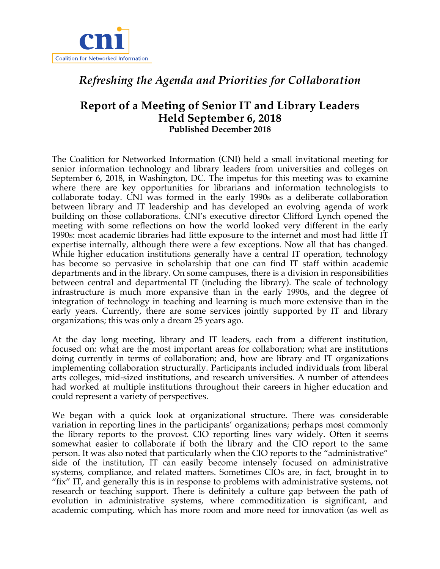

# *Refreshing the Agenda and Priorities for Collaboration*

## **Report of a Meeting of Senior IT and Library Leaders Held September 6, 2018 Published December 2018**

The Coalition for Networked Information (CNI) held a small invitational meeting for senior information technology and library leaders from universities and colleges on September 6, 2018, in Washington, DC. The impetus for this meeting was to examine where there are key opportunities for librarians and information technologists to collaborate today. CNI was formed in the early 1990s as a deliberate collaboration between library and IT leadership and has developed an evolving agenda of work building on those collaborations. CNI's executive director Clifford Lynch opened the meeting with some reflections on how the world looked very different in the early 1990s: most academic libraries had little exposure to the internet and most had little IT expertise internally, although there were a few exceptions. Now all that has changed. While higher education institutions generally have a central IT operation, technology has become so pervasive in scholarship that one can find IT staff within academic departments and in the library. On some campuses, there is a division in responsibilities between central and departmental IT (including the library). The scale of technology infrastructure is much more expansive than in the early 1990s, and the degree of integration of technology in teaching and learning is much more extensive than in the early years. Currently, there are some services jointly supported by IT and library organizations; this was only a dream 25 years ago.

At the day long meeting, library and IT leaders, each from a different institution, focused on: what are the most important areas for collaboration; what are institutions doing currently in terms of collaboration; and, how are library and IT organizations implementing collaboration structurally. Participants included individuals from liberal arts colleges, mid-sized institutions, and research universities. A number of attendees had worked at multiple institutions throughout their careers in higher education and could represent a variety of perspectives.

We began with a quick look at organizational structure. There was considerable variation in reporting lines in the participants' organizations; perhaps most commonly the library reports to the provost. CIO reporting lines vary widely. Often it seems somewhat easier to collaborate if both the library and the CIO report to the same person. It was also noted that particularly when the CIO reports to the "administrative" side of the institution, IT can easily become intensely focused on administrative systems, compliance, and related matters. Sometimes CIOs are, in fact, brought in to "fix" IT, and generally this is in response to problems with administrative systems, not research or teaching support. There is definitely a culture gap between the path of evolution in administrative systems, where commoditization is significant, and academic computing, which has more room and more need for innovation (as well as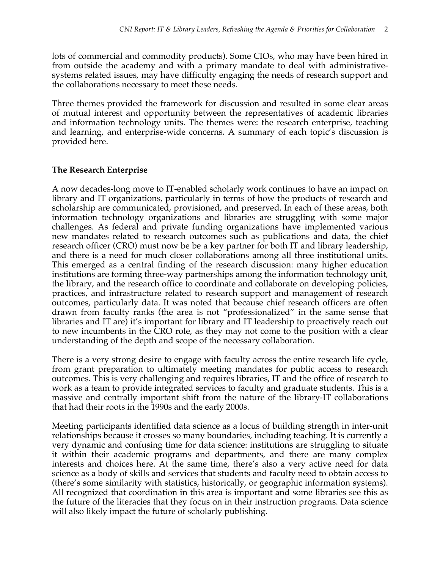lots of commercial and commodity products). Some CIOs, who may have been hired in from outside the academy and with a primary mandate to deal with administrativesystems related issues, may have difficulty engaging the needs of research support and the collaborations necessary to meet these needs.

Three themes provided the framework for discussion and resulted in some clear areas of mutual interest and opportunity between the representatives of academic libraries and information technology units. The themes were: the research enterprise, teaching and learning, and enterprise-wide concerns. A summary of each topic's discussion is provided here.

## **The Research Enterprise**

A now decades-long move to IT-enabled scholarly work continues to have an impact on library and IT organizations, particularly in terms of how the products of research and scholarship are communicated, provisioned, and preserved. In each of these areas, both information technology organizations and libraries are struggling with some major challenges. As federal and private funding organizations have implemented various new mandates related to research outcomes such as publications and data, the chief research officer (CRO) must now be be a key partner for both IT and library leadership, and there is a need for much closer collaborations among all three institutional units. This emerged as a central finding of the research discussion: many higher education institutions are forming three-way partnerships among the information technology unit, the library, and the research office to coordinate and collaborate on developing policies, practices, and infrastructure related to research support and management of research outcomes, particularly data. It was noted that because chief research officers are often drawn from faculty ranks (the area is not "professionalized" in the same sense that libraries and IT are) it's important for library and IT leadership to proactively reach out to new incumbents in the CRO role, as they may not come to the position with a clear understanding of the depth and scope of the necessary collaboration.

There is a very strong desire to engage with faculty across the entire research life cycle, from grant preparation to ultimately meeting mandates for public access to research outcomes. This is very challenging and requires libraries, IT and the office of research to work as a team to provide integrated services to faculty and graduate students. This is a massive and centrally important shift from the nature of the library-IT collaborations that had their roots in the 1990s and the early 2000s.

Meeting participants identified data science as a locus of building strength in inter-unit relationships because it crosses so many boundaries, including teaching. It is currently a very dynamic and confusing time for data science: institutions are struggling to situate it within their academic programs and departments, and there are many complex interests and choices here. At the same time, there's also a very active need for data science as a body of skills and services that students and faculty need to obtain access to (there's some similarity with statistics, historically, or geographic information systems). All recognized that coordination in this area is important and some libraries see this as the future of the literacies that they focus on in their instruction programs. Data science will also likely impact the future of scholarly publishing.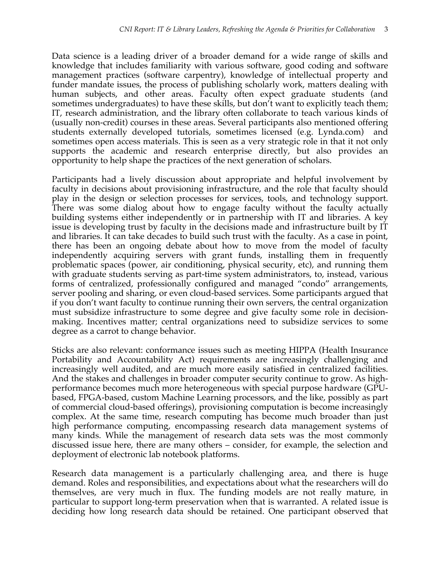Data science is a leading driver of a broader demand for a wide range of skills and knowledge that includes familiarity with various software, good coding and software management practices (software carpentry), knowledge of intellectual property and funder mandate issues, the process of publishing scholarly work, matters dealing with human subjects, and other areas. Faculty often expect graduate students (and sometimes undergraduates) to have these skills, but don't want to explicitly teach them; IT, research administration, and the library often collaborate to teach various kinds of (usually non-credit) courses in these areas. Several participants also mentioned offering students externally developed tutorials, sometimes licensed (e.g. Lynda.com) and sometimes open access materials. This is seen as a very strategic role in that it not only supports the academic and research enterprise directly, but also provides an opportunity to help shape the practices of the next generation of scholars.

Participants had a lively discussion about appropriate and helpful involvement by faculty in decisions about provisioning infrastructure, and the role that faculty should play in the design or selection processes for services, tools, and technology support. There was some dialog about how to engage faculty without the faculty actually building systems either independently or in partnership with IT and libraries. A key issue is developing trust by faculty in the decisions made and infrastructure built by IT and libraries. It can take decades to build such trust with the faculty. As a case in point, there has been an ongoing debate about how to move from the model of faculty independently acquiring servers with grant funds, installing them in frequently problematic spaces (power, air conditioning, physical security, etc), and running them with graduate students serving as part-time system administrators, to, instead, various forms of centralized, professionally configured and managed "condo" arrangements, server pooling and sharing, or even cloud-based services. Some participants argued that if you don't want faculty to continue running their own servers, the central organization must subsidize infrastructure to some degree and give faculty some role in decisionmaking. Incentives matter; central organizations need to subsidize services to some degree as a carrot to change behavior.

Sticks are also relevant: conformance issues such as meeting HIPPA (Health Insurance Portability and Accountability Act) requirements are increasingly challenging and increasingly well audited, and are much more easily satisfied in centralized facilities. And the stakes and challenges in broader computer security continue to grow. As highperformance becomes much more heterogeneous with special purpose hardware (GPUbased, FPGA-based, custom Machine Learning processors, and the like, possibly as part of commercial cloud-based offerings), provisioning computation is become increasingly complex. At the same time, research computing has become much broader than just high performance computing, encompassing research data management systems of many kinds. While the management of research data sets was the most commonly discussed issue here, there are many others – consider, for example, the selection and deployment of electronic lab notebook platforms.

Research data management is a particularly challenging area, and there is huge demand. Roles and responsibilities, and expectations about what the researchers will do themselves, are very much in flux. The funding models are not really mature, in particular to support long-term preservation when that is warranted. A related issue is deciding how long research data should be retained. One participant observed that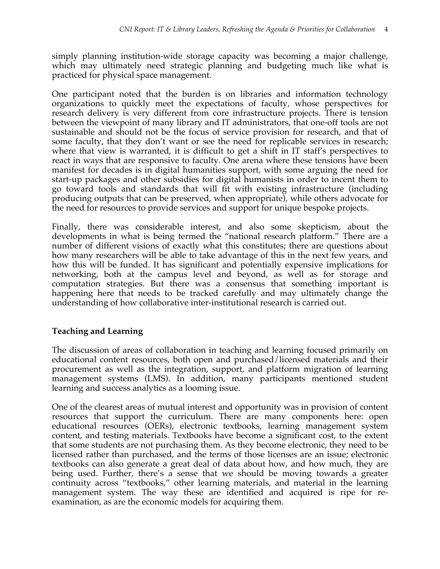simply planning institution-wide storage capacity was becoming a major challenge, which may ultimately need strategic planning and budgeting much like what is practiced for physical space management.

One participant noted that the burden is on libraries and information technology organizations to quickly meet the expectations of faculty, whose perspectives for research delivery is very different from core infrastructure projects. There is tension between the viewpoint of many library and IT administrators, that one-off tools are not sustainable and should not be the focus of service provision for research, and that of some faculty, that they don't want or see the need for replicable services in research; where that view is warranted, it is difficult to get a shift in IT staff's perspectives to react in ways that are responsive to faculty. One arena where these tensions have been manifest for decades is in digital humanities support, with some arguing the need for start-up packages and other subsidies for digital humanists in order to incent them to go toward tools and standards that will fit with existing infrastructure (including producing outputs that can be preserved, when appropriate), while others advocate for the need for resources to provide services and support for unique bespoke projects.

Finally, there was considerable interest, and also some skepticism, about the developments in what is being termed the "national research platform." There are a number of different visions of exactly what this constitutes; there are questions about how many researchers will be able to take advantage of this in the next few years, and how this will be funded. It has significant and potentially expensive implications for networking, both at the campus level and beyond, as well as for storage and computation strategies. But there was a consensus that something important is happening here that needs to be tracked carefully and may ultimately change the understanding of how collaborative inter-institutional research is carried out.

## **Teaching and Learning**

The discussion of areas of collaboration in teaching and learning focused primarily on educational content resources, both open and purchased/licensed materials and their procurement as well as the integration, support, and platform migration of learning management systems (LMS). In addition, many participants mentioned student learning and success analytics as a looming issue.

One of the clearest areas of mutual interest and opportunity was in provision of content resources that support the curriculum. There are many components here: open educational resources (OERs), electronic textbooks, learning management system content, and testing materials. Textbooks have become a significant cost, to the extent that some students are not purchasing them. As they become electronic, they need to be licensed rather than purchased, and the terms of those licenses are an issue; electronic textbooks can also generate a great deal of data about how, and how much, they are being used. Further, there's a sense that we should be moving towards a greater continuity across "textbooks," other learning materials, and material in the learning management system. The way these are identified and acquired is ripe for reexamination, as are the economic models for acquiring them.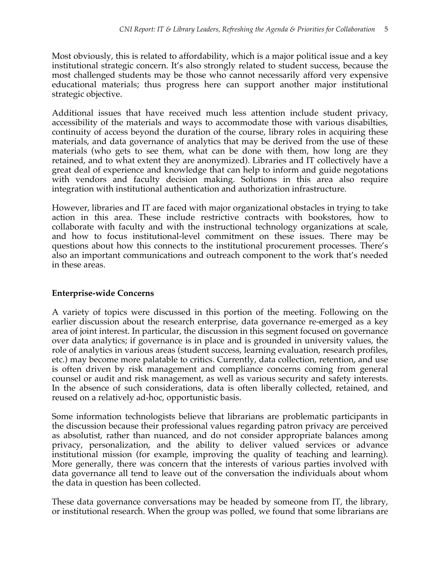Most obviously, this is related to affordability, which is a major political issue and a key institutional strategic concern. It's also strongly related to student success, because the most challenged students may be those who cannot necessarily afford very expensive educational materials; thus progress here can support another major institutional strategic objective.

Additional issues that have received much less attention include student privacy, accessibility of the materials and ways to accommodate those with various disabilties, continuity of access beyond the duration of the course, library roles in acquiring these materials, and data governance of analytics that may be derived from the use of these materials (who gets to see them, what can be done with them, how long are they retained, and to what extent they are anonymized). Libraries and IT collectively have a great deal of experience and knowledge that can help to inform and guide negotations with vendors and faculty decision making. Solutions in this area also require integration with institutional authentication and authorization infrastructure.

However, libraries and IT are faced with major organizational obstacles in trying to take action in this area. These include restrictive contracts with bookstores, how to collaborate with faculty and with the instructional technology organizations at scale, and how to focus institutional-level commitment on these issues. There may be questions about how this connects to the institutional procurement processes. There's also an important communications and outreach component to the work that's needed in these areas.

## **Enterprise-wide Concerns**

A variety of topics were discussed in this portion of the meeting. Following on the earlier discussion about the research enterprise, data governance re-emerged as a key area of joint interest. In particular, the discussion in this segment focused on governance over data analytics; if governance is in place and is grounded in university values, the role of analytics in various areas (student success, learning evaluation, research profiles, etc.) may become more palatable to critics. Currently, data collection, retention, and use is often driven by risk management and compliance concerns coming from general counsel or audit and risk management, as well as various security and safety interests. In the absence of such considerations, data is often liberally collected, retained, and reused on a relatively ad-hoc, opportunistic basis.

Some information technologists believe that librarians are problematic participants in the discussion because their professional values regarding patron privacy are perceived as absolutist, rather than nuanced, and do not consider appropriate balances among privacy, personalization, and the ability to deliver valued services or advance institutional mission (for example, improving the quality of teaching and learning). More generally, there was concern that the interests of various parties involved with data governance all tend to leave out of the conversation the individuals about whom the data in question has been collected.

These data governance conversations may be headed by someone from IT, the library, or institutional research. When the group was polled, we found that some librarians are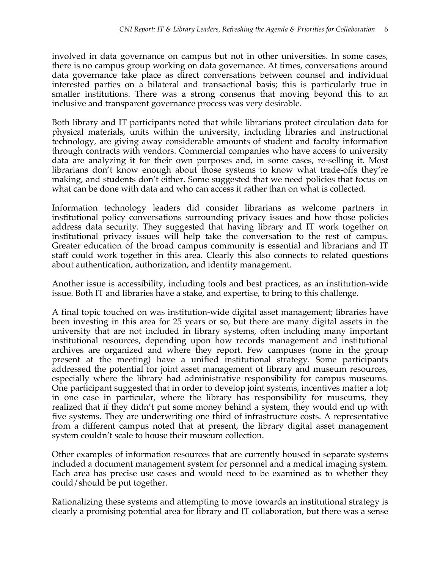involved in data governance on campus but not in other universities. In some cases, there is no campus group working on data governance. At times, conversations around data governance take place as direct conversations between counsel and individual interested parties on a bilateral and transactional basis; this is particularly true in smaller institutions. There was a strong consenus that moving beyond this to an inclusive and transparent governance process was very desirable.

Both library and IT participants noted that while librarians protect circulation data for physical materials, units within the university, including libraries and instructional technology, are giving away considerable amounts of student and faculty information through contracts with vendors. Commercial companies who have access to university data are analyzing it for their own purposes and, in some cases, re-selling it. Most librarians don't know enough about those systems to know what trade-offs they're making, and students don't either. Some suggested that we need policies that focus on what can be done with data and who can access it rather than on what is collected.

Information technology leaders did consider librarians as welcome partners in institutional policy conversations surrounding privacy issues and how those policies address data security. They suggested that having library and IT work together on institutional privacy issues will help take the conversation to the rest of campus. Greater education of the broad campus community is essential and librarians and IT staff could work together in this area. Clearly this also connects to related questions about authentication, authorization, and identity management.

Another issue is accessibility, including tools and best practices, as an institution-wide issue. Both IT and libraries have a stake, and expertise, to bring to this challenge.

A final topic touched on was institution-wide digital asset management; libraries have been investing in this area for 25 years or so, but there are many digital assets in the university that are not included in library systems, often including many important institutional resources, depending upon how records management and institutional archives are organized and where they report. Few campuses (none in the group present at the meeting) have a unified institutional strategy. Some participants addressed the potential for joint asset management of library and museum resources, especially where the library had administrative responsibility for campus museums. One participant suggested that in order to develop joint systems, incentives matter a lot; in one case in particular, where the library has responsibility for museums, they realized that if they didn't put some money behind a system, they would end up with five systems. They are underwriting one third of infrastructure costs. A representative from a different campus noted that at present, the library digital asset management system couldn't scale to house their museum collection.

Other examples of information resources that are currently housed in separate systems included a document management system for personnel and a medical imaging system. Each area has precise use cases and would need to be examined as to whether they could/should be put together.

Rationalizing these systems and attempting to move towards an institutional strategy is clearly a promising potential area for library and IT collaboration, but there was a sense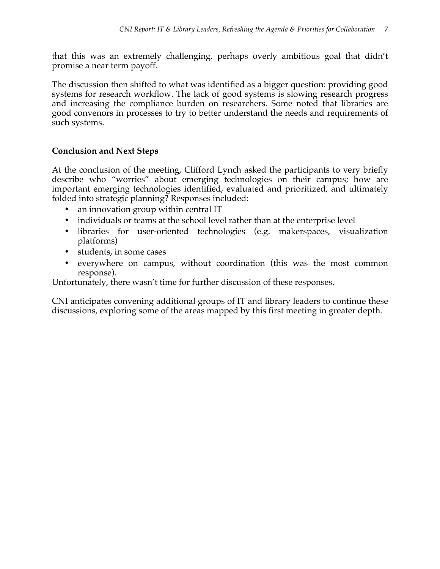that this was an extremely challenging, perhaps overly ambitious goal that didn't promise a near term payoff.

The discussion then shifted to what was identified as a bigger question: providing good systems for research workflow. The lack of good systems is slowing research progress and increasing the compliance burden on researchers. Some noted that libraries are good convenors in processes to try to better understand the needs and requirements of such systems.

## **Conclusion and Next Steps**

At the conclusion of the meeting, Clifford Lynch asked the participants to very briefly describe who "worries" about emerging technologies on their campus; how are important emerging technologies identified, evaluated and prioritized, and ultimately folded into strategic planning? Responses included:

- an innovation group within central IT
- individuals or teams at the school level rather than at the enterprise level
- libraries for user-oriented technologies (e.g. makerspaces, visualization platforms)
- students, in some cases
- everywhere on campus, without coordination (this was the most common response).

Unfortunately, there wasn't time for further discussion of these responses.

CNI anticipates convening additional groups of IT and library leaders to continue these discussions, exploring some of the areas mapped by this first meeting in greater depth.